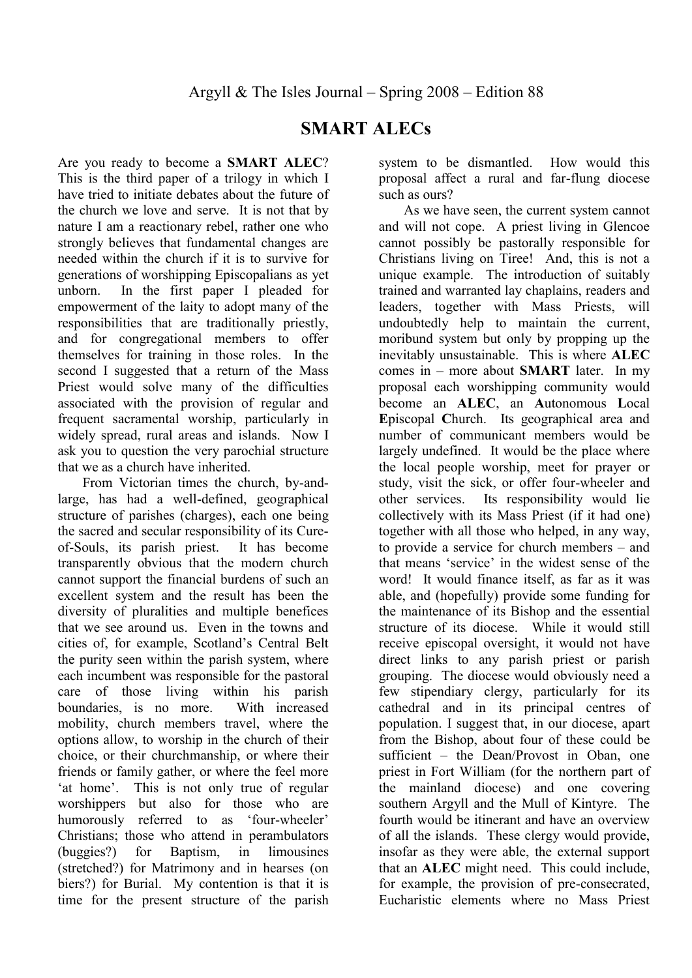## **SMART ALECs**

Are you ready to become a **SMART ALEC**? This is the third paper of a trilogy in which I have tried to initiate debates about the future of the church we love and serve. It is not that by nature I am a reactionary rebel, rather one who strongly believes that fundamental changes are needed within the church if it is to survive for generations of worshipping Episcopalians as yet unborn. In the first paper I pleaded for empowerment of the laity to adopt many of the responsibilities that are traditionally priestly, and for congregational members to offer themselves for training in those roles. In the second I suggested that a return of the Mass Priest would solve many of the difficulties associated with the provision of regular and frequent sacramental worship, particularly in widely spread, rural areas and islands. Now I ask you to question the very parochial structure that we as a church have inherited.

From Victorian times the church, by-andlarge, has had a well-defined, geographical structure of parishes (charges), each one being the sacred and secular responsibility of its Cureof-Souls, its parish priest. It has become transparently obvious that the modern church cannot support the financial burdens of such an excellent system and the result has been the diversity of pluralities and multiple benefices that we see around us. Even in the towns and cities of, for example, Scotland's Central Belt the purity seen within the parish system, where each incumbent was responsible for the pastoral care of those living within his parish boundaries, is no more. With increased mobility, church members travel, where the options allow, to worship in the church of their choice, or their churchmanship, or where their friends or family gather, or where the feel more 'at home'. This is not only true of regular worshippers but also for those who are humorously referred to as 'four-wheeler' Christians; those who attend in perambulators (buggies?) for Baptism, in limousines (stretched?) for Matrimony and in hearses (on biers?) for Burial. My contention is that it is time for the present structure of the parish system to be dismantled. How would this proposal affect a rural and far-flung diocese such as ours?

As we have seen, the current system cannot and will not cope. A priest living in Glencoe cannot possibly be pastorally responsible for Christians living on Tiree! And, this is not a unique example. The introduction of suitably trained and warranted lay chaplains, readers and leaders, together with Mass Priests, will undoubtedly help to maintain the current, moribund system but only by propping up the inevitably unsustainable. This is where **ALEC** comes in – more about **SMART** later. In my proposal each worshipping community would become an **ALEC**, an **A**utonomous **L**ocal **E**piscopal **C**hurch. Its geographical area and number of communicant members would be largely undefined. It would be the place where the local people worship, meet for prayer or study, visit the sick, or offer four-wheeler and other services. Its responsibility would lie collectively with its Mass Priest (if it had one) together with all those who helped, in any way, to provide a service for church members – and that means 'service' in the widest sense of the word! It would finance itself, as far as it was able, and (hopefully) provide some funding for the maintenance of its Bishop and the essential structure of its diocese. While it would still receive episcopal oversight, it would not have direct links to any parish priest or parish grouping. The diocese would obviously need a few stipendiary clergy, particularly for its cathedral and in its principal centres of population. I suggest that, in our diocese, apart from the Bishop, about four of these could be sufficient – the Dean/Provost in Oban, one priest in Fort William (for the northern part of the mainland diocese) and one covering southern Argyll and the Mull of Kintyre. The fourth would be itinerant and have an overview of all the islands. These clergy would provide, insofar as they were able, the external support that an **ALEC** might need. This could include, for example, the provision of pre-consecrated, Eucharistic elements where no Mass Priest